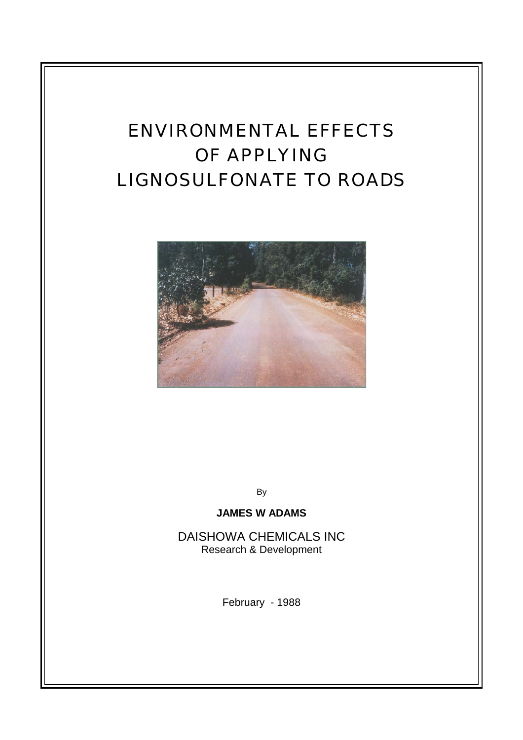# ENVIRONMENTAL EFFECTS OF APPLYING LIGNOSULFONATE TO ROADS



By

## **JAMES W ADAMS**

DAISHOWA CHEMICALS INC Research & Development

February - 1988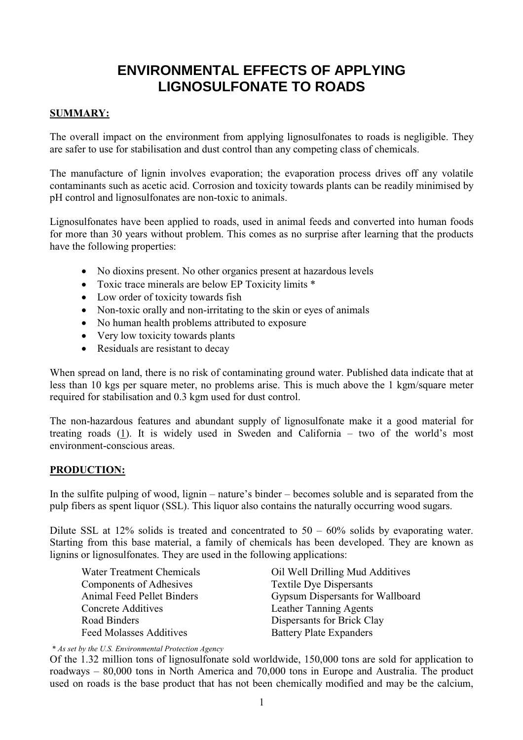## **ENVIRONMENTAL EFFECTS OF APPLYING LIGNOSULFONATE TO ROADS**

## **SUMMARY:**

The overall impact on the environment from applying lignosulfonates to roads is negligible. They are safer to use for stabilisation and dust control than any competing class of chemicals.

The manufacture of lignin involves evaporation; the evaporation process drives off any volatile contaminants such as acetic acid. Corrosion and toxicity towards plants can be readily minimised by pH control and lignosulfonates are non-toxic to animals.

Lignosulfonates have been applied to roads, used in animal feeds and converted into human foods for more than 30 years without problem. This comes as no surprise after learning that the products have the following properties:

- No dioxins present. No other organics present at hazardous levels
- Toxic trace minerals are below EP Toxicity limits \*
- $\bullet$  Low order of toxicity towards fish
- Non-toxic orally and non-irritating to the skin or eyes of animals
- No human health problems attributed to exposure
- $\bullet$  Very low toxicity towards plants
- $\bullet$  Residuals are resistant to decay

When spread on land, there is no risk of contaminating ground water. Published data indicate that at less than 10 kgs per square meter, no problems arise. This is much above the 1 kgm/square meter required for stabilisation and 0.3 kgm used for dust control.

The non-hazardous features and abundant supply of lignosulfonate make it a good material for treating roads (1). It is widely used in Sweden and California – two of the world's most environment-conscious areas.

## **PRODUCTION:**

In the sulfite pulping of wood, lignin – nature's binder – becomes soluble and is separated from the pulp fibers as spent liquor (SSL). This liquor also contains the naturally occurring wood sugars.

Dilute SSL at 12% solids is treated and concentrated to  $50 - 60\%$  solids by evaporating water. Starting from this base material, a family of chemicals has been developed. They are known as lignins or lignosulfonates. They are used in the following applications:

 Components of Adhesives Textile Dye Dispersants Concrete Additives Leather Tanning Agents Road Binders<br>
Feed Molasses Additives<br>
Rattery Plate Expanders<br>
Rattery Plate Expanders

Water Treatment Chemicals Oil Well Drilling Mud Additives Animal Feed Pellet Binders Gypsum Dispersants for Wallboard Battery Plate Expanders

 *\* As set by the U.S. Environmental Protection Agency*  Of the 1.32 million tons of lignosulfonate sold worldwide, 150,000 tons are sold for application to roadways – 80,000 tons in North America and 70,000 tons in Europe and Australia. The product used on roads is the base product that has not been chemically modified and may be the calcium,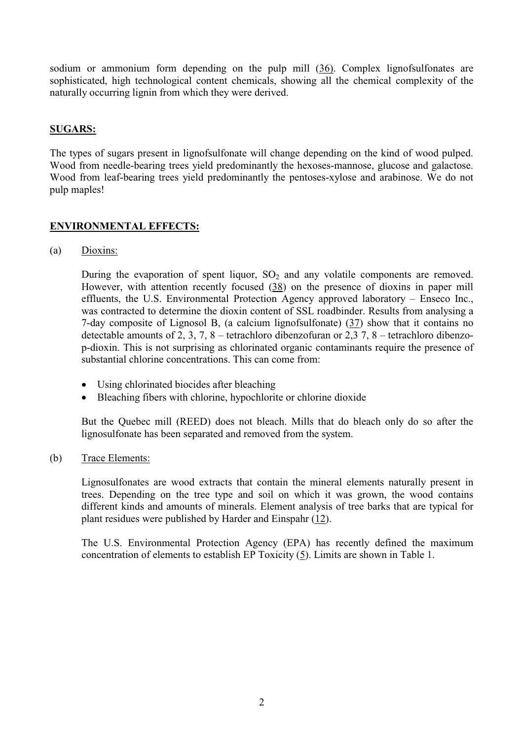sodium or ammonium form depending on the pulp mill (36). Complex lignofsulfonates are sophisticated, high technological content chemicals, showing all the chemical complexity of the naturally occurring lignin from which they were derived.

#### **SUGARS:**

The types of sugars present in lignofsulfonate will change depending on the kind of wood pulped. Wood from needle-bearing trees yield predominantly the hexoses-mannose, glucose and galactose. Wood from leaf-bearing trees yield predominantly the pentoses-xylose and arabinose. We do not pulp maples!

## **ENVIRONMENTAL EFFECTS:**

(a) Dioxins:

During the evaporation of spent liquor,  $SO_2$  and any volatile components are removed. However, with attention recently focused (38) on the presence of dioxins in paper mill effluents, the U.S. Environmental Protection Agency approved laboratory – Enseco Inc., was contracted to determine the dioxin content of SSL roadbinder. Results from analysing a 7-day composite of Lignosol B, (a calcium lignofsulfonate) (37) show that it contains no detectable amounts of 2, 3, 7, 8 – tetrachloro dibenzofuran or 2,3 7, 8 – tetrachloro dibenzop-dioxin. This is not surprising as chlorinated organic contaminants require the presence of substantial chlorine concentrations. This can come from:

- Using chlorinated biocides after bleaching
- Bleaching fibers with chlorine, hypochlorite or chlorine dioxide

But the Quebec mill (REED) does not bleach. Mills that do bleach only do so after the lignosulfonate has been separated and removed from the system.

#### (b) Trace Elements:

Lignosulfonates are wood extracts that contain the mineral elements naturally present in trees. Depending on the tree type and soil on which it was grown, the wood contains different kinds and amounts of minerals. Element analysis of tree barks that are typical for plant residues were published by Harder and Einspahr (12).

The U.S. Environmental Protection Agency (EPA) has recently defined the maximum concentration of elements to establish EP Toxicity (5). Limits are shown in Table 1.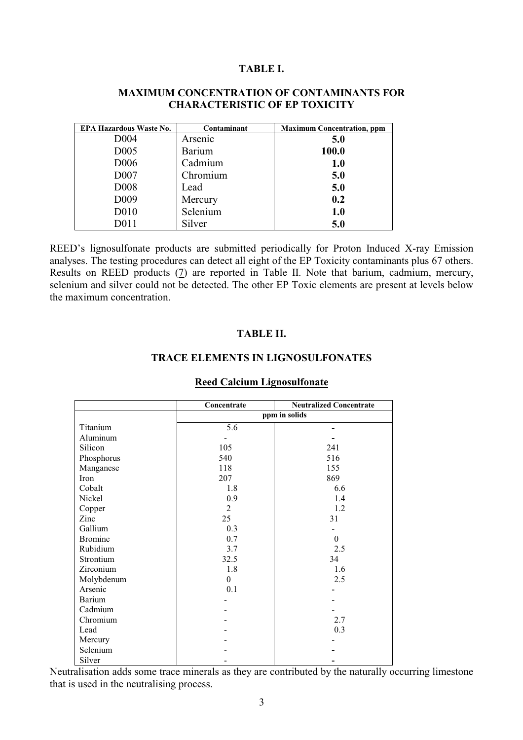#### **TABLE I.**

| <b>EPA Hazardous Waste No.</b> | Contaminant   | <b>Maximum Concentration, ppm</b> |
|--------------------------------|---------------|-----------------------------------|
| D <sub>004</sub>               | Arsenic       | 5.0                               |
| D <sub>005</sub>               | <b>Barium</b> | 100.0                             |
| D <sub>006</sub>               | Cadmium       | <b>1.0</b>                        |
| D007                           | Chromium      | 5.0                               |
| D <sub>008</sub>               | Lead          | 5.0                               |
| D <sub>009</sub>               | Mercury       | 0.2                               |
| D <sub>0</sub> 10              | Selenium      | 1.0                               |
| D011                           | Silver        | 5.0                               |

## **MAXIMUM CONCENTRATION OF CONTAMINANTS FOR CHARACTERISTIC OF EP TOXICITY**

REED's lignosulfonate products are submitted periodically for Proton Induced X-ray Emission analyses. The testing procedures can detect all eight of the EP Toxicity contaminants plus 67 others. Results on REED products (7) are reported in Table II. Note that barium, cadmium, mercury, selenium and silver could not be detected. The other EP Toxic elements are present at levels below the maximum concentration.

#### **TABLE II.**

#### **TRACE ELEMENTS IN LIGNOSULFONATES**

|                | Concentrate   | <b>Neutralized Concentrate</b> |  |
|----------------|---------------|--------------------------------|--|
|                | ppm in solids |                                |  |
| Titanium       | 5.6           |                                |  |
| Aluminum       |               |                                |  |
| Silicon        | 105           | 241                            |  |
| Phosphorus     | 540           | 516                            |  |
| Manganese      | 118           | 155                            |  |
| Iron           | 207           | 869                            |  |
| Cobalt         | 1.8           | 6.6                            |  |
| Nickel         | 0.9           | 1.4                            |  |
| Copper         | 2             | 1.2                            |  |
| Zinc           | 25            | 31                             |  |
| Gallium        | 0.3           |                                |  |
| <b>Bromine</b> | 0.7           | $\Omega$                       |  |
| Rubidium       | 3.7           | 2.5                            |  |
| Strontium      | 32.5          | 34                             |  |
| Zirconium      | 1.8           | 1.6                            |  |
| Molybdenum     | $\theta$      | 2.5                            |  |
| Arsenic        | 0.1           |                                |  |
| Barium         |               |                                |  |
| Cadmium        |               |                                |  |
| Chromium       |               | 2.7                            |  |
| Lead           |               | 0.3                            |  |
| Mercury        |               |                                |  |
| Selenium       |               |                                |  |
| Silver         |               |                                |  |

#### **Reed Calcium Lignosulfonate**

Neutralisation adds some trace minerals as they are contributed by the naturally occurring limestone that is used in the neutralising process.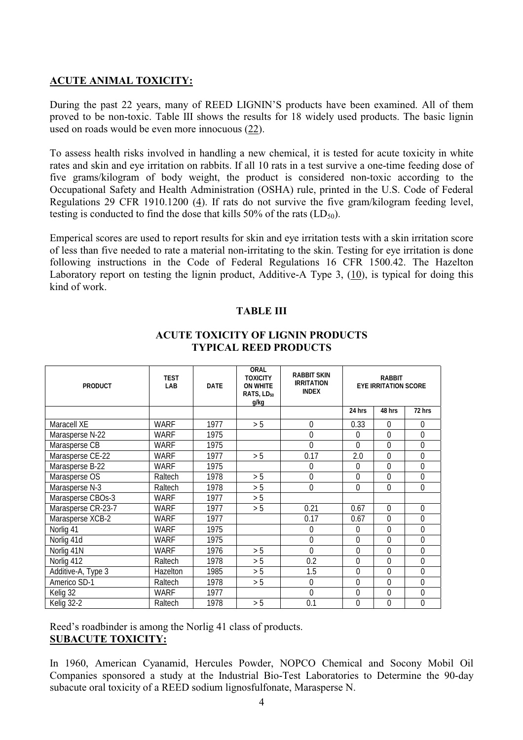## **ACUTE ANIMAL TOXICITY:**

During the past 22 years, many of REED LIGNIN'S products have been examined. All of them proved to be non-toxic. Table III shows the results for 18 widely used products. The basic lignin used on roads would be even more innocuous (22).

To assess health risks involved in handling a new chemical, it is tested for acute toxicity in white rates and skin and eye irritation on rabbits. If all 10 rats in a test survive a one-time feeding dose of five grams/kilogram of body weight, the product is considered non-toxic according to the Occupational Safety and Health Administration (OSHA) rule, printed in the U.S. Code of Federal Regulations 29 CFR 1910.1200 (4). If rats do not survive the five gram/kilogram feeding level, testing is conducted to find the dose that kills  $50\%$  of the rats (LD<sub>50</sub>).

Emperical scores are used to report results for skin and eye irritation tests with a skin irritation score of less than five needed to rate a material non-irritating to the skin. Testing for eye irritation is done following instructions in the Code of Federal Regulations 16 CFR 1500.42. The Hazelton Laboratory report on testing the lignin product, Additive-A Type 3, (10), is typical for doing this kind of work.

#### **TABLE III**

| <b>PRODUCT</b>     | <b>TEST</b><br>LAB | <b>DATE</b> | <b>ORAL</b><br><b>TOXICITY</b><br><b>ON WHITE</b><br>RATS, LD <sub>50</sub><br>g/kg | <b>RABBIT SKIN</b><br><b>IRRITATION</b><br><b>INDEX</b> | <b>RABBIT</b><br><b>EYE IRRITATION SCORE</b> |                |          |
|--------------------|--------------------|-------------|-------------------------------------------------------------------------------------|---------------------------------------------------------|----------------------------------------------|----------------|----------|
|                    |                    |             |                                                                                     |                                                         | 24 hrs                                       | 48 hrs         | 72 hrs   |
| Maracell XE        | <b>WARF</b>        | 1977        | > 5                                                                                 | $\mathbf 0$                                             | 0.33                                         | $\theta$       | $\Omega$ |
| Marasperse N-22    | WARF               | 1975        |                                                                                     | 0                                                       | $\theta$                                     | $\Omega$       | $\Omega$ |
| Marasperse CB      | WARF               | 1975        |                                                                                     | $\Omega$                                                | $\Omega$                                     | $\Omega$       | 0        |
| Marasperse CE-22   | WARF               | 1977        | > 5                                                                                 | 0.17                                                    | 2.0                                          | $\Omega$       | $\Omega$ |
| Marasperse B-22    | <b>WARF</b>        | 1975        |                                                                                     | 0                                                       | $\theta$                                     | $\Omega$       | $\Omega$ |
| Marasperse OS      | Raltech            | 1978        | > 5                                                                                 | $\overline{0}$                                          | $\Omega$                                     | $\Omega$       | $\Omega$ |
| Marasperse N-3     | Raltech            | 1978        | > 5                                                                                 | $\mathbf 0$                                             | $\overline{0}$                               | $\overline{0}$ | 0        |
| Marasperse CBOs-3  | <b>WARF</b>        | 1977        | > 5                                                                                 |                                                         |                                              |                |          |
| Marasperse CR-23-7 | WARF               | 1977        | > 5                                                                                 | 0.21                                                    | 0.67                                         | $\Omega$       | 0        |
| Marasperse XCB-2   | WARF               | 1977        |                                                                                     | 0.17                                                    | 0.67                                         | $\theta$       | 0        |
| Norlig 41          | <b>WARF</b>        | 1975        |                                                                                     | 0                                                       | $\Omega$                                     | $\Omega$       | $\Omega$ |
| Norlig 41d         | <b>WARF</b>        | 1975        |                                                                                     | $\mathbf 0$                                             | $\overline{0}$                               | $\Omega$       | 0        |
| Norlig 41N         | WARF               | 1976        | > 5                                                                                 | 0                                                       | $\theta$                                     | $\theta$       | 0        |
| Norlig 412         | Raltech            | 1978        | > 5                                                                                 | 0.2                                                     | $\Omega$                                     | $\Omega$       | $\Omega$ |
| Additive-A, Type 3 | Hazelton           | 1985        | > 5                                                                                 | 1.5                                                     | $\theta$                                     | $\theta$       | 0        |
| Americo SD-1       | Raltech            | 1978        | > 5                                                                                 | 0                                                       | $\Omega$                                     | $\Omega$       | $\Omega$ |
| Kelig 32           | <b>WARF</b>        | 1977        |                                                                                     | $\overline{0}$                                          | $\overline{0}$                               | $\Omega$       | 0        |
| Kelig 32-2         | Raltech            | 1978        | > 5                                                                                 | 0.1                                                     | $\mathbf 0$                                  | 0              | 0        |

## **ACUTE TOXICITY OF LIGNIN PRODUCTS TYPICAL REED PRODUCTS**

Reed's roadbinder is among the Norlig 41 class of products. **SUBACUTE TOXICITY:**

In 1960, American Cyanamid, Hercules Powder, NOPCO Chemical and Socony Mobil Oil Companies sponsored a study at the Industrial Bio-Test Laboratories to Determine the 90-day subacute oral toxicity of a REED sodium lignosfulfonate, Marasperse N.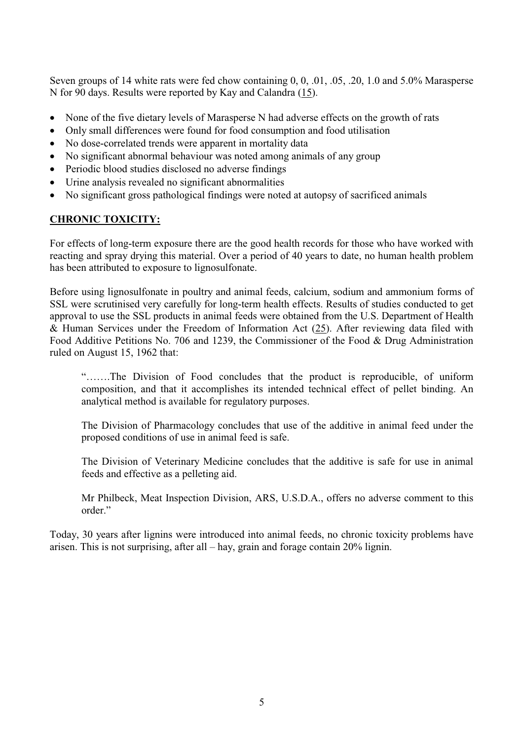Seven groups of 14 white rats were fed chow containing 0, 0, .01, .05, .20, 1.0 and 5.0% Marasperse N for 90 days. Results were reported by Kay and Calandra (15).

- None of the five dietary levels of Marasperse N had adverse effects on the growth of rats
- Only small differences were found for food consumption and food utilisation
- No dose-correlated trends were apparent in mortality data
- No significant abnormal behaviour was noted among animals of any group
- Periodic blood studies disclosed no adverse findings
- $\bullet$  Urine analysis revealed no significant abnormalities
- No significant gross pathological findings were noted at autopsy of sacrificed animals

## **CHRONIC TOXICITY:**

For effects of long-term exposure there are the good health records for those who have worked with reacting and spray drying this material. Over a period of 40 years to date, no human health problem has been attributed to exposure to lignosulfonate.

Before using lignosulfonate in poultry and animal feeds, calcium, sodium and ammonium forms of SSL were scrutinised very carefully for long-term health effects. Results of studies conducted to get approval to use the SSL products in animal feeds were obtained from the U.S. Department of Health & Human Services under the Freedom of Information Act  $(25)$ . After reviewing data filed with Food Additive Petitions No. 706 and 1239, the Commissioner of the Food & Drug Administration ruled on August 15, 1962 that:

 "…….The Division of Food concludes that the product is reproducible, of uniform composition, and that it accomplishes its intended technical effect of pellet binding. An analytical method is available for regulatory purposes.

 The Division of Pharmacology concludes that use of the additive in animal feed under the proposed conditions of use in animal feed is safe.

 The Division of Veterinary Medicine concludes that the additive is safe for use in animal feeds and effective as a pelleting aid.

 Mr Philbeck, Meat Inspection Division, ARS, U.S.D.A., offers no adverse comment to this order."

Today, 30 years after lignins were introduced into animal feeds, no chronic toxicity problems have arisen. This is not surprising, after all – hay, grain and forage contain 20% lignin.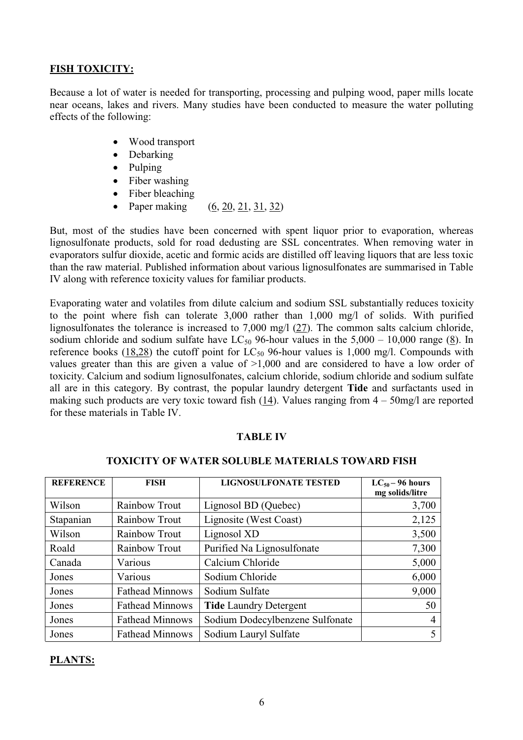## **FISH TOXICITY:**

Because a lot of water is needed for transporting, processing and pulping wood, paper mills locate near oceans, lakes and rivers. Many studies have been conducted to measure the water polluting effects of the following:

- Wood transport
- $\bullet$  Debarking
- $\bullet$  Pulping
- $\bullet$  Fiber washing
- $\bullet$  Fiber bleaching
- Paper making (6, 20, 21, 31, 32)

But, most of the studies have been concerned with spent liquor prior to evaporation, whereas lignosulfonate products, sold for road dedusting are SSL concentrates. When removing water in evaporators sulfur dioxide, acetic and formic acids are distilled off leaving liquors that are less toxic than the raw material. Published information about various lignosulfonates are summarised in Table IV along with reference toxicity values for familiar products.

Evaporating water and volatiles from dilute calcium and sodium SSL substantially reduces toxicity to the point where fish can tolerate 3,000 rather than 1,000 mg/l of solids. With purified lignosulfonates the tolerance is increased to 7,000 mg/l (27). The common salts calcium chloride, sodium chloride and sodium sulfate have  $LC_{50}$  96-hour values in the 5,000 – 10,000 range (8). In reference books (18,28) the cutoff point for  $LC_{50}$  96-hour values is 1,000 mg/l. Compounds with values greater than this are given a value of >1,000 and are considered to have a low order of toxicity. Calcium and sodium lignosulfonates, calcium chloride, sodium chloride and sodium sulfate all are in this category. By contrast, the popular laundry detergent **Tide** and surfactants used in making such products are very toxic toward fish (14). Values ranging from  $4 - 50$ mg/l are reported for these materials in Table IV.

#### **TABLE IV**

| <b>REFERENCE</b> | <b>FISH</b>            | <b>LIGNOSULFONATE TESTED</b>    | $LC_{50} - 96$ hours<br>mg solids/litre |
|------------------|------------------------|---------------------------------|-----------------------------------------|
| Wilson           | Rainbow Trout          | Lignosol BD (Quebec)            | 3,700                                   |
| Stapanian        | Rainbow Trout          | Lignosite (West Coast)          | 2,125                                   |
| Wilson           | Rainbow Trout          | Lignosol XD                     | 3,500                                   |
| Roald            | Rainbow Trout          | Purified Na Lignosulfonate      | 7,300                                   |
| Canada           | Various                | Calcium Chloride                | 5,000                                   |
| Jones            | Various                | Sodium Chloride                 | 6,000                                   |
| Jones            | <b>Fathead Minnows</b> | Sodium Sulfate                  | 9,000                                   |
| Jones            | <b>Fathead Minnows</b> | <b>Tide Laundry Detergent</b>   | 50                                      |
| Jones            | <b>Fathead Minnows</b> | Sodium Dodecylbenzene Sulfonate | $\overline{4}$                          |
| Jones            | <b>Fathead Minnows</b> | Sodium Lauryl Sulfate           |                                         |

## **TOXICITY OF WATER SOLUBLE MATERIALS TOWARD FISH**

#### **PLANTS:**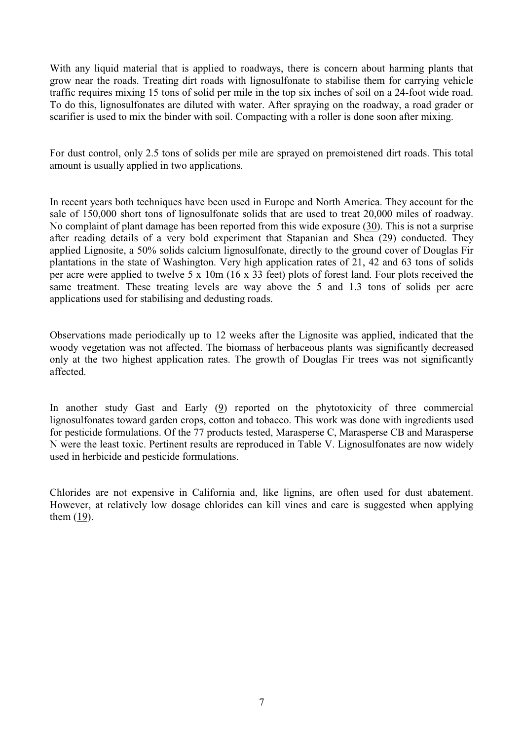With any liquid material that is applied to roadways, there is concern about harming plants that grow near the roads. Treating dirt roads with lignosulfonate to stabilise them for carrying vehicle traffic requires mixing 15 tons of solid per mile in the top six inches of soil on a 24-foot wide road. To do this, lignosulfonates are diluted with water. After spraying on the roadway, a road grader or scarifier is used to mix the binder with soil. Compacting with a roller is done soon after mixing.

For dust control, only 2.5 tons of solids per mile are sprayed on premoistened dirt roads. This total amount is usually applied in two applications.

In recent years both techniques have been used in Europe and North America. They account for the sale of 150,000 short tons of lignosulfonate solids that are used to treat 20,000 miles of roadway. No complaint of plant damage has been reported from this wide exposure (30). This is not a surprise after reading details of a very bold experiment that Stapanian and Shea (29) conducted. They applied Lignosite, a 50% solids calcium lignosulfonate, directly to the ground cover of Douglas Fir plantations in the state of Washington. Very high application rates of 21, 42 and 63 tons of solids per acre were applied to twelve 5 x 10m (16 x 33 feet) plots of forest land. Four plots received the same treatment. These treating levels are way above the 5 and 1.3 tons of solids per acre applications used for stabilising and dedusting roads.

Observations made periodically up to 12 weeks after the Lignosite was applied, indicated that the woody vegetation was not affected. The biomass of herbaceous plants was significantly decreased only at the two highest application rates. The growth of Douglas Fir trees was not significantly affected.

In another study Gast and Early  $(9)$  reported on the phytotoxicity of three commercial lignosulfonates toward garden crops, cotton and tobacco. This work was done with ingredients used for pesticide formulations. Of the 77 products tested, Marasperse C, Marasperse CB and Marasperse N were the least toxic. Pertinent results are reproduced in Table V. Lignosulfonates are now widely used in herbicide and pesticide formulations.

Chlorides are not expensive in California and, like lignins, are often used for dust abatement. However, at relatively low dosage chlorides can kill vines and care is suggested when applying them (19).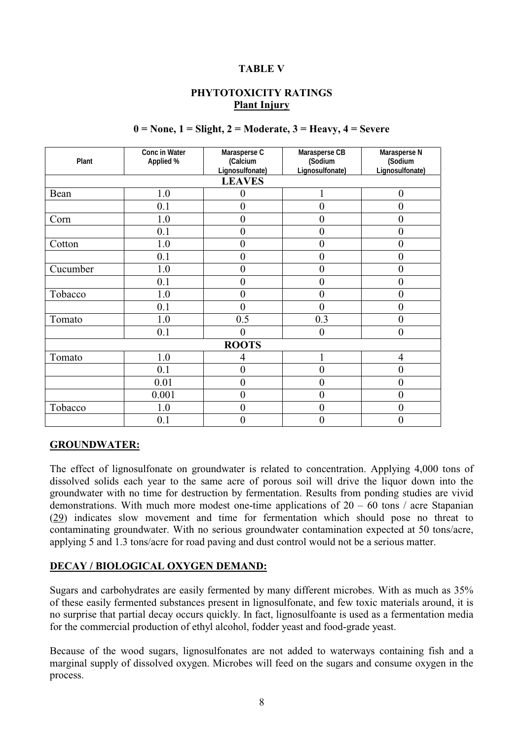#### **TABLE V**

## **PHYTOTOXICITY RATINGS Plant Injury**

#### **0 = None, 1 = Slight, 2 = Moderate, 3 = Heavy, 4 = Severe**

| Plant         | Conc in Water<br>Applied % | Marasperse C<br>(Calcium | Marasperse CB<br>(Sodium | Marasperse N<br>(Sodium |  |  |  |
|---------------|----------------------------|--------------------------|--------------------------|-------------------------|--|--|--|
|               |                            | Lignosulfonate)          | Lignosulfonate)          | Lignosulfonate)         |  |  |  |
| <b>LEAVES</b> |                            |                          |                          |                         |  |  |  |
| Bean          | 1.0                        | 0                        | 1                        | $\theta$                |  |  |  |
|               | 0.1                        | $\overline{0}$           | $\overline{0}$           | $\overline{0}$          |  |  |  |
| Corn          | 1.0                        | 0                        | $\pmb{0}$                | 0                       |  |  |  |
|               | 0.1                        | $\overline{0}$           | $\pmb{0}$                | 0                       |  |  |  |
| Cotton        | 1.0                        | 0                        | $\pmb{0}$                | $\overline{0}$          |  |  |  |
|               | 0.1                        | 0                        | $\overline{0}$           | 0                       |  |  |  |
| Cucumber      | 1.0                        | $\overline{0}$           | $\pmb{0}$                | 0                       |  |  |  |
|               | 0.1                        | 0                        | $\overline{0}$           | 0                       |  |  |  |
| Tobacco       | 1.0                        | $\pmb{0}$                | 0                        | 0                       |  |  |  |
|               | 0.1                        | 0                        | 0                        | 0                       |  |  |  |
| Tomato        | 1.0                        | 0.5                      | 0.3                      | 0                       |  |  |  |
|               | 0.1                        | $\overline{0}$           | $\overline{0}$           | $\boldsymbol{0}$        |  |  |  |
| <b>ROOTS</b>  |                            |                          |                          |                         |  |  |  |
| Tomato        | 1.0                        | 4                        | 1                        | $\overline{4}$          |  |  |  |
|               | 0.1                        | 0                        | $\overline{0}$           | $\boldsymbol{0}$        |  |  |  |
|               | 0.01                       | $\overline{0}$           | $\overline{0}$           | $\mathbf{0}$            |  |  |  |
|               | 0.001                      | $\pmb{0}$                | $\pmb{0}$                | 0                       |  |  |  |
| Tobacco       | 1.0                        | $\pmb{0}$                | $\boldsymbol{0}$         | $\boldsymbol{0}$        |  |  |  |
|               | 0.1                        | 0                        | $\pmb{0}$                | 0                       |  |  |  |

#### **GROUNDWATER:**

The effect of lignosulfonate on groundwater is related to concentration. Applying 4,000 tons of dissolved solids each year to the same acre of porous soil will drive the liquor down into the groundwater with no time for destruction by fermentation. Results from ponding studies are vivid demonstrations. With much more modest one-time applications of  $20 - 60$  tons / acre Stapanian (29) indicates slow movement and time for fermentation which should pose no threat to contaminating groundwater. With no serious groundwater contamination expected at 50 tons/acre, applying 5 and 1.3 tons/acre for road paving and dust control would not be a serious matter.

#### **DECAY / BIOLOGICAL OXYGEN DEMAND:**

Sugars and carbohydrates are easily fermented by many different microbes. With as much as 35% of these easily fermented substances present in lignosulfonate, and few toxic materials around, it is no surprise that partial decay occurs quickly. In fact, lignosulfoante is used as a fermentation media for the commercial production of ethyl alcohol, fodder yeast and food-grade yeast.

Because of the wood sugars, lignosulfonates are not added to waterways containing fish and a marginal supply of dissolved oxygen. Microbes will feed on the sugars and consume oxygen in the process.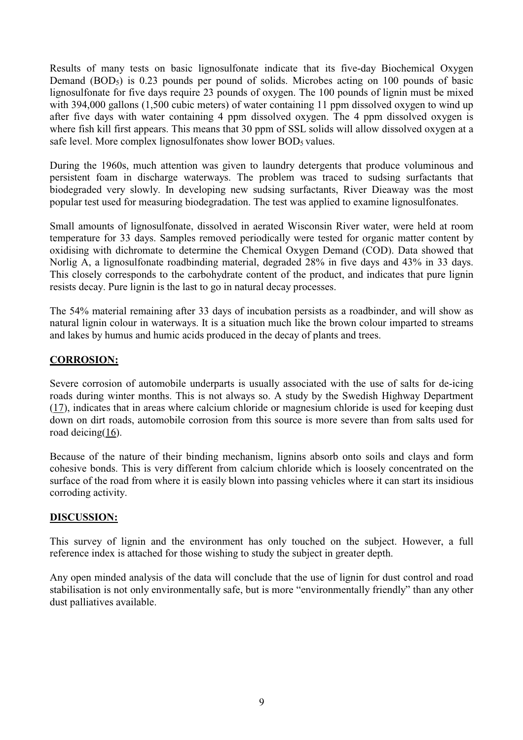Results of many tests on basic lignosulfonate indicate that its five-day Biochemical Oxygen Demand (BOD<sub>5</sub>) is 0.23 pounds per pound of solids. Microbes acting on 100 pounds of basic lignosulfonate for five days require 23 pounds of oxygen. The 100 pounds of lignin must be mixed with 394,000 gallons (1,500 cubic meters) of water containing 11 ppm dissolved oxygen to wind up after five days with water containing 4 ppm dissolved oxygen. The 4 ppm dissolved oxygen is where fish kill first appears. This means that 30 ppm of SSL solids will allow dissolved oxygen at a safe level. More complex lignosulfonates show lower BOD<sub>5</sub> values.

During the 1960s, much attention was given to laundry detergents that produce voluminous and persistent foam in discharge waterways. The problem was traced to sudsing surfactants that biodegraded very slowly. In developing new sudsing surfactants, River Dieaway was the most popular test used for measuring biodegradation. The test was applied to examine lignosulfonates.

Small amounts of lignosulfonate, dissolved in aerated Wisconsin River water, were held at room temperature for 33 days. Samples removed periodically were tested for organic matter content by oxidising with dichromate to determine the Chemical Oxygen Demand (COD). Data showed that Norlig A, a lignosulfonate roadbinding material, degraded 28% in five days and 43% in 33 days. This closely corresponds to the carbohydrate content of the product, and indicates that pure lignin resists decay. Pure lignin is the last to go in natural decay processes.

The 54% material remaining after 33 days of incubation persists as a roadbinder, and will show as natural lignin colour in waterways. It is a situation much like the brown colour imparted to streams and lakes by humus and humic acids produced in the decay of plants and trees.

## **CORROSION:**

Severe corrosion of automobile underparts is usually associated with the use of salts for de-icing roads during winter months. This is not always so. A study by the Swedish Highway Department (17), indicates that in areas where calcium chloride or magnesium chloride is used for keeping dust down on dirt roads, automobile corrosion from this source is more severe than from salts used for road deicing(16).

Because of the nature of their binding mechanism, lignins absorb onto soils and clays and form cohesive bonds. This is very different from calcium chloride which is loosely concentrated on the surface of the road from where it is easily blown into passing vehicles where it can start its insidious corroding activity.

## **DISCUSSION:**

This survey of lignin and the environment has only touched on the subject. However, a full reference index is attached for those wishing to study the subject in greater depth.

Any open minded analysis of the data will conclude that the use of lignin for dust control and road stabilisation is not only environmentally safe, but is more "environmentally friendly" than any other dust palliatives available.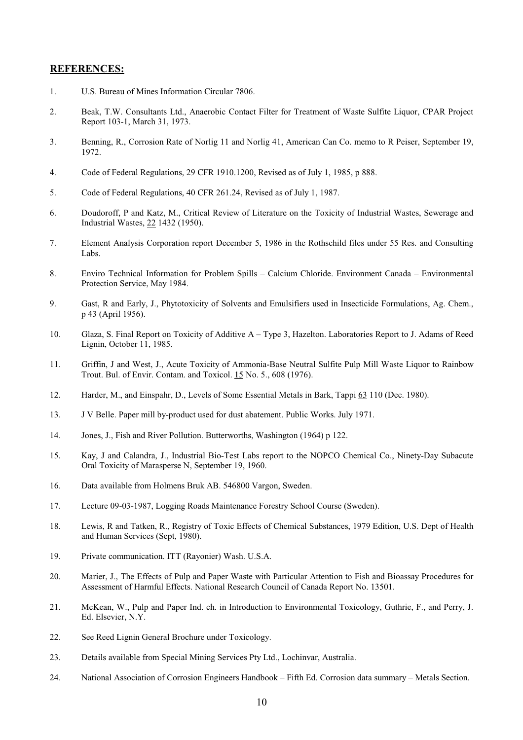#### **REFERENCES:**

- 1. U.S. Bureau of Mines Information Circular 7806.
- 2. Beak, T.W. Consultants Ltd., Anaerobic Contact Filter for Treatment of Waste Sulfite Liquor, CPAR Project Report 103-1, March 31, 1973.
- 3. Benning, R., Corrosion Rate of Norlig 11 and Norlig 41, American Can Co. memo to R Peiser, September 19, 1972.
- 4. Code of Federal Regulations, 29 CFR 1910.1200, Revised as of July 1, 1985, p 888.
- 5. Code of Federal Regulations, 40 CFR 261.24, Revised as of July 1, 1987.
- 6. Doudoroff, P and Katz, M., Critical Review of Literature on the Toxicity of Industrial Wastes, Sewerage and Industrial Wastes, 22 1432 (1950).
- 7. Element Analysis Corporation report December 5, 1986 in the Rothschild files under 55 Res. and Consulting Labs.
- 8. Enviro Technical Information for Problem Spills Calcium Chloride. Environment Canada Environmental Protection Service, May 1984.
- 9. Gast, R and Early, J., Phytotoxicity of Solvents and Emulsifiers used in Insecticide Formulations, Ag. Chem., p 43 (April 1956).
- 10. Glaza, S. Final Report on Toxicity of Additive A Type 3, Hazelton. Laboratories Report to J. Adams of Reed Lignin, October 11, 1985.
- 11. Griffin, J and West, J., Acute Toxicity of Ammonia-Base Neutral Sulfite Pulp Mill Waste Liquor to Rainbow Trout. Bul. of Envir. Contam. and Toxicol. 15 No. 5., 608 (1976).
- 12. Harder, M., and Einspahr, D., Levels of Some Essential Metals in Bark, Tappi 63 110 (Dec. 1980).
- 13. J V Belle. Paper mill by-product used for dust abatement. Public Works. July 1971.
- 14. Jones, J., Fish and River Pollution. Butterworths, Washington (1964) p 122.
- 15. Kay, J and Calandra, J., Industrial Bio-Test Labs report to the NOPCO Chemical Co., Ninety-Day Subacute Oral Toxicity of Marasperse N, September 19, 1960.
- 16. Data available from Holmens Bruk AB. 546800 Vargon, Sweden.
- 17. Lecture 09-03-1987, Logging Roads Maintenance Forestry School Course (Sweden).
- 18. Lewis, R and Tatken, R., Registry of Toxic Effects of Chemical Substances, 1979 Edition, U.S. Dept of Health and Human Services (Sept, 1980).
- 19. Private communication. ITT (Rayonier) Wash. U.S.A.
- 20. Marier, J., The Effects of Pulp and Paper Waste with Particular Attention to Fish and Bioassay Procedures for Assessment of Harmful Effects. National Research Council of Canada Report No. 13501.
- 21. McKean, W., Pulp and Paper Ind. ch. in Introduction to Environmental Toxicology, Guthrie, F., and Perry, J. Ed. Elsevier, N.Y.
- 22. See Reed Lignin General Brochure under Toxicology.
- 23. Details available from Special Mining Services Pty Ltd., Lochinvar, Australia.
- 24. National Association of Corrosion Engineers Handbook Fifth Ed. Corrosion data summary Metals Section.